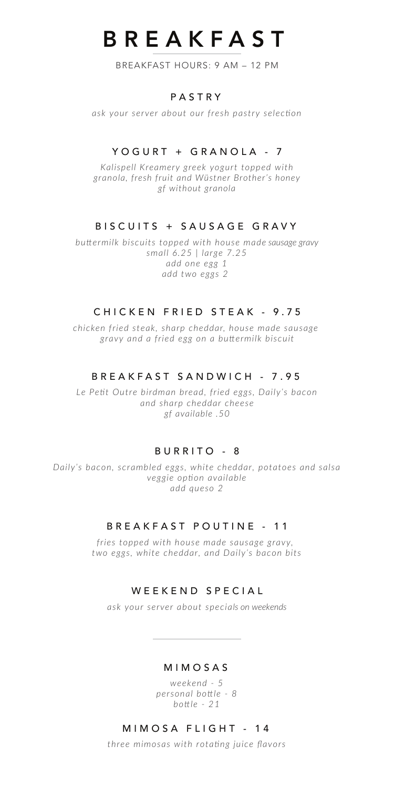# BREAKFAST

BREAKFAST HOURS: 9 AM – 12 PM

#### PASTRY

*ask your server about our fresh pastry selection*

## YOGURT + GRANOLA - 7

*Kalispell Kreamery greek yogurt topped with granola, fresh fruit and Wüstner Brother's honey gf without granola*

#### BISCUITS + SAUSAGE GRAVY

*buttermilk biscuits topped with house made sausage gravy small 6.25 | large 7.25 add one egg 1 add two eggs 2* 

#### CHICKEN FRIED STEAK - 9.75

*chicken fried steak, sharp cheddar, house made sausage gravy and a fried egg on a buttermilk biscuit*

#### BREAK FAST SANDWICH - 7.95

*Le Petit Outre birdman bread, fried eggs, Daily's bacon and sharp cheddar cheese gf available .50*

## BURRITO - 8

*Daily's bacon, scrambled eggs, white cheddar, potatoes and salsa veggie option available add queso 2*

## BREAKFAST POUTINE - 1 1

*fries topped with house made sausage gravy, two eggs, white cheddar, and Daily's bacon bits*

#### WEEKEND SPECIAL

*ask your server about specials on weekends*

#### MIMOSAS

*weekend - 5 personal bottle - 8 bottle - 21*

### MIMOSA FLIGHT - 14

*three mimosas with rotating juice flavors*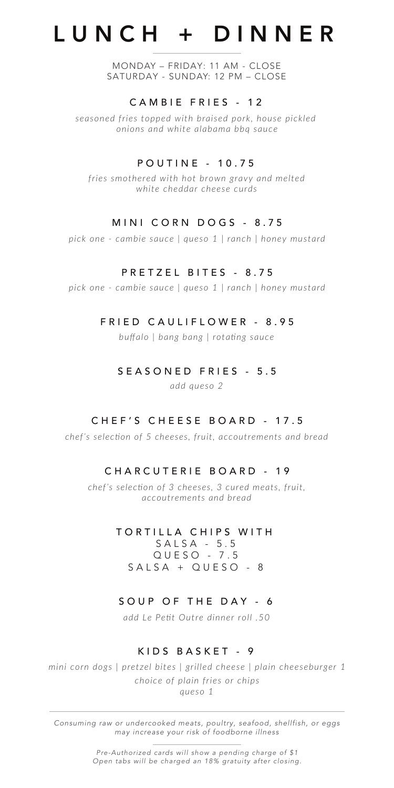# LUNCH + DINNER

MONDAY – FRIDAY: 11 AM - CLOSE SATURDAY - SUNDAY: 12 PM – CLOSE

#### CAMBIE FRIES - 12

*seasoned fries topped with braised pork, house pickled onions and white alabama bbq sauce*

### POUTINE - 10.75

*fries smothered with hot brown gravy and melted white cheddar cheese curds*

## MINI CORN DOGS - 8.75

*pick one - cambie sauce | queso 1 | ranch | honey mustard*

#### PRETZEL BITES - 8.75

*pick one - cambie sauce | queso 1 | ranch | honey mustard*

#### FRIED CAULIFLOWER - 8.95

*buffalo | bang bang | rotating sauce*

#### SEASONED FRIES - 5 . 5

*add queso 2*

#### CHEF'S CHEESE BOARD - 17.5

*chef's selection of 5 cheeses, fruit, accoutrements and bread*

## CHARCUTERIE BOARD - 19

*chef's selection of 3 cheeses, 3 cured meats, fruit, accoutrements and bread*

#### TORTILLA C HIPS WITH

SALSA - 5.5 QUESO - 7.5 SALSA + QUESO - 8

## SOUP OF THE DAY - 6

*add Le Petit Outre dinner roll .50*

## KIDS BASKET - 9

mini corn dogs | pretzel bites | grilled cheese | plain cheeseburger 1 *choice of plain fries or chips queso 1*

*Consuming raw or undercooked meats, poultry, seafood, shellfish, or eggs may increase your risk of foodborne illness*

> *Pre-Authorized cards will show a pending charge of \$1 Open tabs will be charged an 18% gratuity after closing.*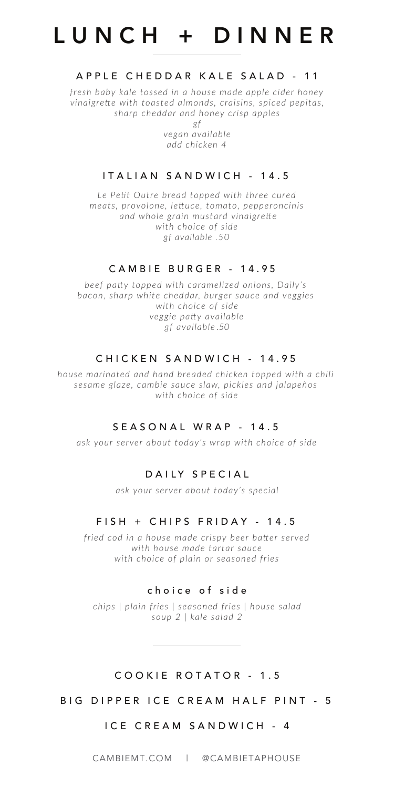# LUNCH + DINNER

### APPLE CHEDDAR KALE SALAD - 11

*fresh baby kale tossed in a house made apple cider honey vinaigrette with toasted almonds, craisins, spiced pepitas, sharp cheddar and honey crisp apples*

> *gf vegan available add chicken 4*

#### ITALIAN SANDWICH - 14.5

*Le Petit Outre bread topped with three cured meats, provolone, lettuce, tomato, pepperoncinis and whole grain mustard vinaigrette with choice of side gf available .50*

#### CAMBIE BURGER - 14.95

*beef patty topped with caramelized onions, Daily's bacon, sharp white chedda<sup>r</sup>, burger sauce and veggies with choice of side veggie patty available gf a<sup>v</sup>ailable .50*

#### CHICKEN SANDWICH - 14.95

*house marinated and hand breaded chicken topped with a chili sesame glaze, cambie sauce slaw, pickles and jalapeños with choice of side*

#### SEASONAL WRAP - 14.5

*ask your server about today's wrap with choice of side*

#### DAILY SPECIAL

*ask your server about today's special*

#### FISH + CHIPS FRIDAY - 14.5

*fried cod in a house made crispy beer batter served with house made tartar sauce with choice of plain or seasoned fries*

#### choice of sid e

*chips | plain fries | seasoned fries | house salad soup 2 | kale salad 2*

#### COOKIE ROTATOR - 1 . 5

BIG DIPPER ICE CREAM HALF PINT - 5

#### ICE CREAM SANDWICH - 4